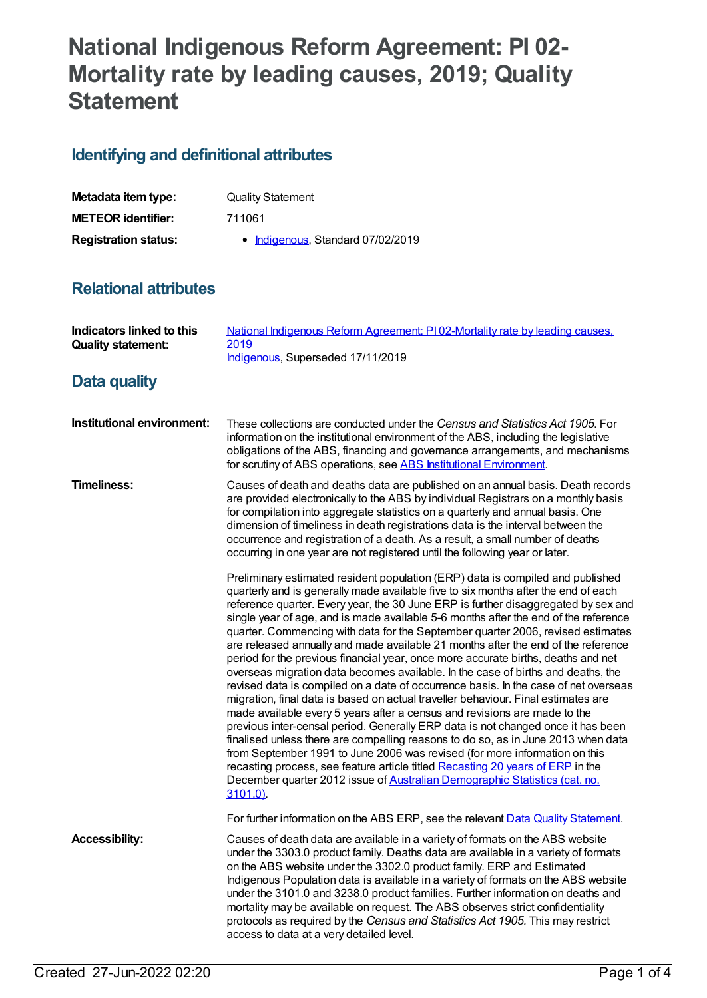# **National Indigenous Reform Agreement: PI 02- Mortality rate by leading causes, 2019; Quality Statement**

## **Identifying and definitional attributes**

| Metadata item type:         | <b>Quality Statement</b>          |
|-----------------------------|-----------------------------------|
| <b>METEOR identifier:</b>   | 711061                            |
| <b>Registration status:</b> | • Indigenous, Standard 07/02/2019 |

### **Relational attributes**

| <b>Indicators linked to this</b><br><b>Quality statement:</b> | National Indigenous Reform Agreement: PI02-Mortality rate by leading causes,<br>2019<br>Indigenous, Superseded 17/11/2019                                                                                                                                                                                                                                                                                                                                                                                                                                                                                                                                                                                                                                                                                                                                                                                                                                                                                                                                                                                                                                                                                                                                                                                                                                                                         |
|---------------------------------------------------------------|---------------------------------------------------------------------------------------------------------------------------------------------------------------------------------------------------------------------------------------------------------------------------------------------------------------------------------------------------------------------------------------------------------------------------------------------------------------------------------------------------------------------------------------------------------------------------------------------------------------------------------------------------------------------------------------------------------------------------------------------------------------------------------------------------------------------------------------------------------------------------------------------------------------------------------------------------------------------------------------------------------------------------------------------------------------------------------------------------------------------------------------------------------------------------------------------------------------------------------------------------------------------------------------------------------------------------------------------------------------------------------------------------|
| Data quality                                                  |                                                                                                                                                                                                                                                                                                                                                                                                                                                                                                                                                                                                                                                                                                                                                                                                                                                                                                                                                                                                                                                                                                                                                                                                                                                                                                                                                                                                   |
| Institutional environment:                                    | These collections are conducted under the Census and Statistics Act 1905. For<br>information on the institutional environment of the ABS, including the legislative<br>obligations of the ABS, financing and governance arrangements, and mechanisms<br>for scrutiny of ABS operations, see ABS Institutional Environment.                                                                                                                                                                                                                                                                                                                                                                                                                                                                                                                                                                                                                                                                                                                                                                                                                                                                                                                                                                                                                                                                        |
| <b>Timeliness:</b>                                            | Causes of death and deaths data are published on an annual basis. Death records<br>are provided electronically to the ABS by individual Registrars on a monthly basis<br>for compilation into aggregate statistics on a quarterly and annual basis. One<br>dimension of timeliness in death registrations data is the interval between the<br>occurrence and registration of a death. As a result, a small number of deaths<br>occurring in one year are not registered until the following year or later.                                                                                                                                                                                                                                                                                                                                                                                                                                                                                                                                                                                                                                                                                                                                                                                                                                                                                        |
|                                                               | Preliminary estimated resident population (ERP) data is compiled and published<br>quarterly and is generally made available five to six months after the end of each<br>reference quarter. Every year, the 30 June ERP is further disaggregated by sex and<br>single year of age, and is made available 5-6 months after the end of the reference<br>quarter. Commencing with data for the September quarter 2006, revised estimates<br>are released annually and made available 21 months after the end of the reference<br>period for the previous financial year, once more accurate births, deaths and net<br>overseas migration data becomes available. In the case of births and deaths, the<br>revised data is compiled on a date of occurrence basis. In the case of net overseas<br>migration, final data is based on actual traveller behaviour. Final estimates are<br>made available every 5 years after a census and revisions are made to the<br>previous inter-censal period. Generally ERP data is not changed once it has been<br>finalised unless there are compelling reasons to do so, as in June 2013 when data<br>from September 1991 to June 2006 was revised (for more information on this<br>recasting process, see feature article titled Recasting 20 years of ERP in the<br>December quarter 2012 issue of Australian Demographic Statistics (cat. no.<br>$3101.0$ ). |
|                                                               | For further information on the ABS ERP, see the relevant Data Quality Statement.                                                                                                                                                                                                                                                                                                                                                                                                                                                                                                                                                                                                                                                                                                                                                                                                                                                                                                                                                                                                                                                                                                                                                                                                                                                                                                                  |
| <b>Accessibility:</b>                                         | Causes of death data are available in a variety of formats on the ABS website<br>under the 3303.0 product family. Deaths data are available in a variety of formats<br>on the ABS website under the 3302.0 product family. ERP and Estimated<br>Indigenous Population data is available in a variety of formats on the ABS website<br>under the 3101.0 and 3238.0 product families. Further information on deaths and<br>mortality may be available on request. The ABS observes strict confidentiality<br>protocols as required by the Census and Statistics Act 1905. This may restrict<br>access to data at a very detailed level.                                                                                                                                                                                                                                                                                                                                                                                                                                                                                                                                                                                                                                                                                                                                                             |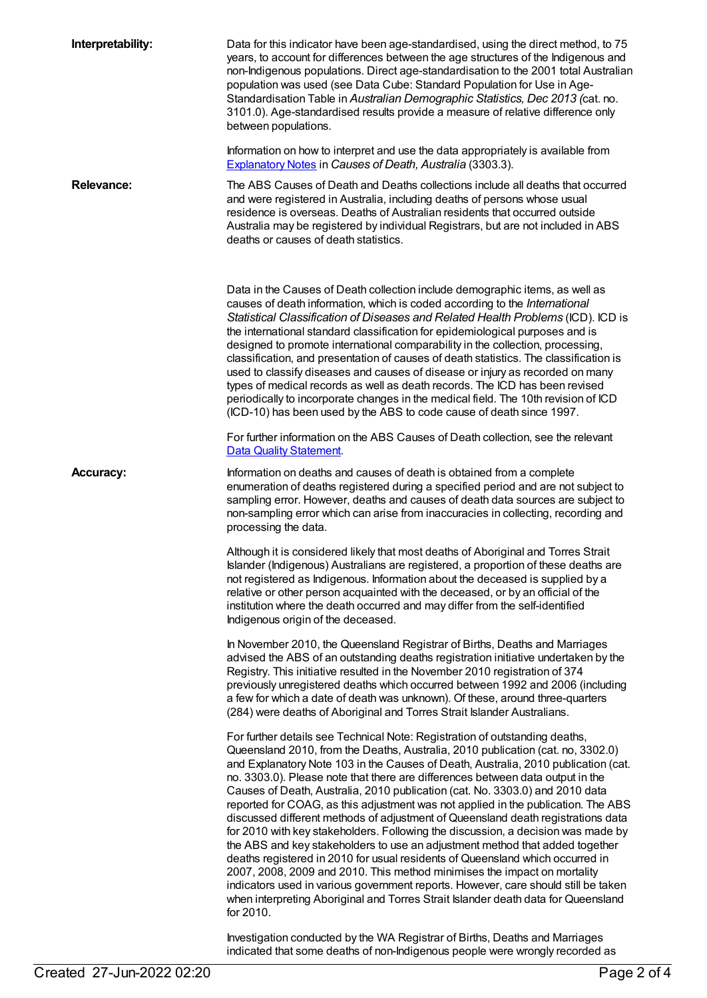| Interpretability: | Data for this indicator have been age-standardised, using the direct method, to 75<br>years, to account for differences between the age structures of the Indigenous and<br>non-Indigenous populations. Direct age-standardisation to the 2001 total Australian<br>population was used (see Data Cube: Standard Population for Use in Age-<br>Standardisation Table in Australian Demographic Statistics, Dec 2013 (cat. no.<br>3101.0). Age-standardised results provide a measure of relative difference only<br>between populations.<br>Information on how to interpret and use the data appropriately is available from                                                                                                                                                                                                                                                                                                                                                                                                                                                                                              |
|-------------------|--------------------------------------------------------------------------------------------------------------------------------------------------------------------------------------------------------------------------------------------------------------------------------------------------------------------------------------------------------------------------------------------------------------------------------------------------------------------------------------------------------------------------------------------------------------------------------------------------------------------------------------------------------------------------------------------------------------------------------------------------------------------------------------------------------------------------------------------------------------------------------------------------------------------------------------------------------------------------------------------------------------------------------------------------------------------------------------------------------------------------|
|                   | Explanatory Notes in Causes of Death, Australia (3303.3).                                                                                                                                                                                                                                                                                                                                                                                                                                                                                                                                                                                                                                                                                                                                                                                                                                                                                                                                                                                                                                                                |
| <b>Relevance:</b> | The ABS Causes of Death and Deaths collections include all deaths that occurred<br>and were registered in Australia, including deaths of persons whose usual<br>residence is overseas. Deaths of Australian residents that occurred outside<br>Australia may be registered by individual Registrars, but are not included in ABS<br>deaths or causes of death statistics.                                                                                                                                                                                                                                                                                                                                                                                                                                                                                                                                                                                                                                                                                                                                                |
|                   | Data in the Causes of Death collection include demographic items, as well as<br>causes of death information, which is coded according to the International<br>Statistical Classification of Diseases and Related Health Problems (ICD). ICD is<br>the international standard classification for epidemiological purposes and is<br>designed to promote international comparability in the collection, processing,<br>classification, and presentation of causes of death statistics. The classification is<br>used to classify diseases and causes of disease or injury as recorded on many<br>types of medical records as well as death records. The ICD has been revised<br>periodically to incorporate changes in the medical field. The 10th revision of ICD<br>(ICD-10) has been used by the ABS to code cause of death since 1997.                                                                                                                                                                                                                                                                                 |
|                   | For further information on the ABS Causes of Death collection, see the relevant<br><b>Data Quality Statement.</b>                                                                                                                                                                                                                                                                                                                                                                                                                                                                                                                                                                                                                                                                                                                                                                                                                                                                                                                                                                                                        |
| <b>Accuracy:</b>  | Information on deaths and causes of death is obtained from a complete<br>enumeration of deaths registered during a specified period and are not subject to<br>sampling error. However, deaths and causes of death data sources are subject to<br>non-sampling error which can arise from inaccuracies in collecting, recording and<br>processing the data.                                                                                                                                                                                                                                                                                                                                                                                                                                                                                                                                                                                                                                                                                                                                                               |
|                   | Although it is considered likely that most deaths of Aboriginal and Torres Strait<br>Islander (Indigenous) Australians are registered, a proportion of these deaths are<br>not registered as Indigenous. Information about the deceased is supplied by a<br>relative or other person acquainted with the deceased, or by an official of the<br>institution where the death occurred and may differ from the self-identified<br>Indigenous origin of the deceased.                                                                                                                                                                                                                                                                                                                                                                                                                                                                                                                                                                                                                                                        |
|                   | In November 2010, the Queensland Registrar of Births, Deaths and Marriages<br>advised the ABS of an outstanding deaths registration initiative undertaken by the<br>Registry. This initiative resulted in the November 2010 registration of 374<br>previously unregistered deaths which occurred between 1992 and 2006 (including<br>a few for which a date of death was unknown). Of these, around three-quarters<br>(284) were deaths of Aboriginal and Torres Strait Islander Australians.                                                                                                                                                                                                                                                                                                                                                                                                                                                                                                                                                                                                                            |
|                   | For further details see Technical Note: Registration of outstanding deaths,<br>Queensland 2010, from the Deaths, Australia, 2010 publication (cat. no, 3302.0)<br>and Explanatory Note 103 in the Causes of Death, Australia, 2010 publication (cat.<br>no. 3303.0). Please note that there are differences between data output in the<br>Causes of Death, Australia, 2010 publication (cat. No. 3303.0) and 2010 data<br>reported for COAG, as this adjustment was not applied in the publication. The ABS<br>discussed different methods of adjustment of Queensland death registrations data<br>for 2010 with key stakeholders. Following the discussion, a decision was made by<br>the ABS and key stakeholders to use an adjustment method that added together<br>deaths registered in 2010 for usual residents of Queensland which occurred in<br>2007, 2008, 2009 and 2010. This method minimises the impact on mortality<br>indicators used in various government reports. However, care should still be taken<br>when interpreting Aboriginal and Torres Strait Islander death data for Queensland<br>for 2010. |
|                   | Investigation conducted by the WA Peqistrar of Righter Deaths and Marriages                                                                                                                                                                                                                                                                                                                                                                                                                                                                                                                                                                                                                                                                                                                                                                                                                                                                                                                                                                                                                                              |

Investigation conducted by the WA Registrar of Births, Deaths and Marriages indicated that some deaths of non-Indigenous people were wrongly recorded as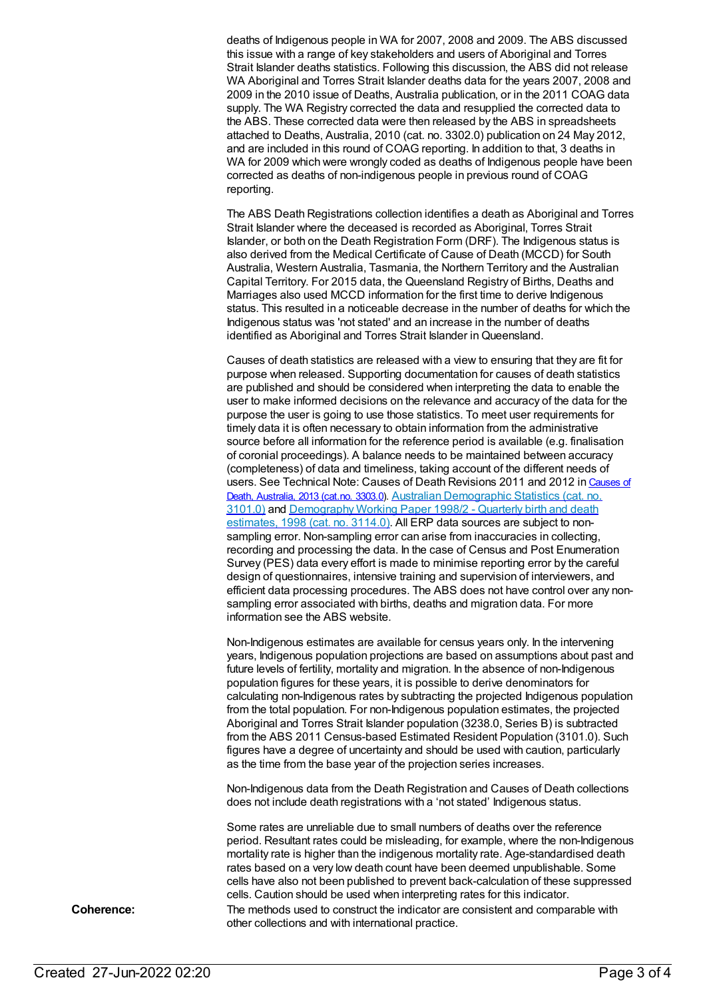deaths of Indigenous people in WA for 2007, 2008 and 2009. The ABS discussed this issue with a range of key stakeholders and users of Aboriginal and Torres Strait Islander deaths statistics. Following this discussion, the ABS did not release WA Aboriginal and Torres Strait Islander deaths data for the years 2007, 2008 and 2009 in the 2010 issue of Deaths, Australia publication, or in the 2011 COAG data supply. The WA Registry corrected the data and resupplied the corrected data to the ABS. These corrected data were then released by the ABS in spreadsheets attached to Deaths, Australia, 2010 (cat. no. 3302.0) publication on 24 May 2012, and are included in this round of COAG reporting. In addition to that, 3 deaths in WA for 2009 which were wrongly coded as deaths of Indigenous people have been corrected as deaths of non-indigenous people in previous round of COAG reporting.

The ABS Death Registrations collection identifies a death as Aboriginal and Torres Strait Islander where the deceased is recorded as Aboriginal, Torres Strait Islander, or both on the Death Registration Form (DRF). The Indigenous status is also derived from the Medical Certificate of Cause of Death (MCCD) for South Australia, Western Australia, Tasmania, the Northern Territory and the Australian Capital Territory. For 2015 data, the Queensland Registry of Births, Deaths and Marriages also used MCCD information for the first time to derive Indigenous status. This resulted in a noticeable decrease in the number of deaths for which the Indigenous status was 'not stated' and an increase in the number of deaths identified as Aboriginal and Torres Strait Islander in Queensland.

Causes of death statistics are released with a view to ensuring that they are fit for purpose when released. Supporting documentation for causes of death statistics are published and should be considered when interpreting the data to enable the user to make informed decisions on the relevance and accuracy of the data for the purpose the user is going to use those statistics. To meet user requirements for timely data it is often necessary to obtain information from the administrative source before all information for the reference period is available (e.g. finalisation of coronial proceedings). A balance needs to be maintained between accuracy (completeness) of data and timeliness, taking account of the different needs of users. See Technical Note: Causes of Death Revisions 2011 and 2012 in Causes of Death, Australia, 2013 (cat.no. 3303.0). Australian [Demographic](http://www.abs.gov.au/ausstats/abs@.nsf/mf/3101.0) Statistics (cat. no. 3101.0) and [Demography](http://www.abs.gov.au/AUSSTATS/abs@.nsf/ProductsbyCatalogue/B5BE54544A5DAFEFCA257061001F4540?OpenDocument) Working Paper 1998/2 - Quarterly birth and death estimates, 1998 (cat. no. 3114.0). All ERP data sources are subject to nonsampling error. Non-sampling error can arise from inaccuracies in collecting, recording and processing the data. In the case of Census and Post Enumeration Survey (PES) data every effort is made to minimise reporting error by the careful design of questionnaires, intensive training and supervision of interviewers, and efficient data processing procedures. The ABS does not have control over any nonsampling error associated with births, deaths and migration data. For more information see the ABS website.

Non-Indigenous estimates are available for census years only. In the intervening years, Indigenous population projections are based on assumptions about past and future levels of fertility, mortality and migration. In the absence of non-Indigenous population figures for these years, it is possible to derive denominators for calculating non-Indigenous rates by subtracting the projected Indigenous population from the total population. For non-Indigenous population estimates, the projected Aboriginal and Torres Strait Islander population (3238.0, Series B) is subtracted from the ABS 2011 Census-based Estimated Resident Population (3101.0). Such figures have a degree of uncertainty and should be used with caution, particularly as the time from the base year of the projection series increases.

Non-Indigenous data from the Death Registration and Causes of Death collections does not include death registrations with a 'not stated' Indigenous status.

Some rates are unreliable due to small numbers of deaths over the reference period. Resultant rates could be misleading, for example, where the non-Indigenous mortality rate is higher than the indigenous mortality rate. Age-standardised death rates based on a very low death count have been deemed unpublishable. Some cells have also not been published to prevent back-calculation of these suppressed cells. Caution should be used when interpreting rates for this indicator. **Coherence:** The methods used to construct the indicator are consistent and comparable with other collections and with international practice.